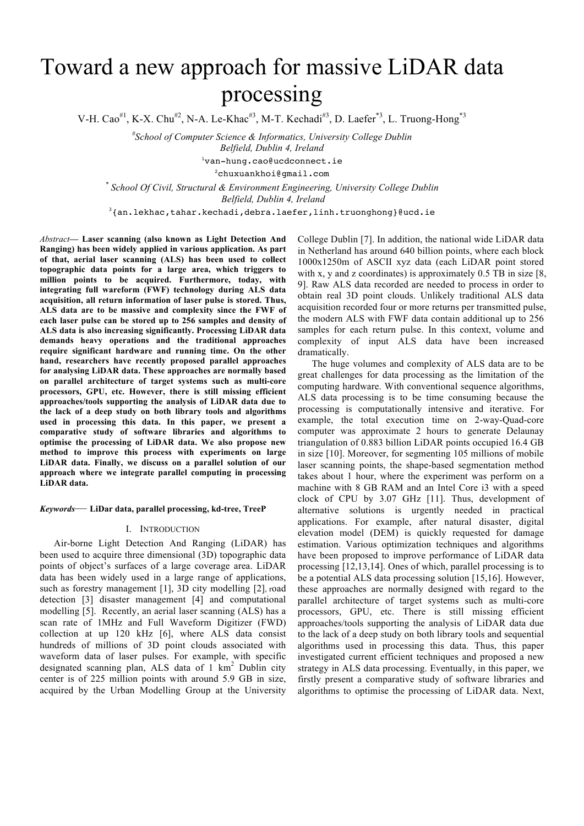# Toward a new approach for massive LiDAR data processing

V-H. Cao<sup>#1</sup>, K-X. Chu<sup>#2</sup>, N-A. Le-Khac<sup>#3</sup>, M-T. Kechadi<sup>#3</sup>, D. Laefer<sup>\*3</sup>, L. Truong-Hong<sup>\*3</sup>

*# School of Computer Science & Informatics, University College Dublin*

*Belfield, Dublin 4, Ireland*

1 van-hung.cao@ucdconnect.ie

2 chuxuankhoi@gmail.com

*\* School Of Civil, Structural & Environment Engineering, University College Dublin Belfield, Dublin 4, Ireland*

 $^3$ {an.lekhac,tahar.kechadi,debra.laefer,linh.truonghong}@ucd.ie

*Abstract***— Laser scanning (also known as Light Detection And Ranging) has been widely applied in various application. As part of that, aerial laser scanning (ALS) has been used to collect topographic data points for a large area, which triggers to million points to be acquired. Furthermore, today, with integrating full wareform (FWF) technology during ALS data acquisition, all return information of laser pulse is stored. Thus, ALS data are to be massive and complexity since the FWF of each laser pulse can be stored up to 256 samples and density of ALS data is also increasing significantly. Processing LiDAR data demands heavy operations and the traditional approaches require significant hardware and running time. On the other hand, researchers have recently proposed parallel approaches for analysing LiDAR data. These approaches are normally based on parallel architecture of target systems such as multi-core processors, GPU, etc. However, there is still missing efficient approaches/tools supporting the analysis of LiDAR data due to the lack of a deep study on both library tools and algorithms used in processing this data. In this paper, we present a comparative study of software libraries and algorithms to optimise the processing of LiDAR data. We also propose new method to improve this process with experiments on large LiDAR data. Finally, we discuss on a parallel solution of our approach where we integrate parallel computing in processing LiDAR data.**

*Keywords*— **LiDar data, parallel processing, kd-tree, TreeP**

# I. INTRODUCTION

Air-borne Light Detection And Ranging (LiDAR) has been used to acquire three dimensional (3D) topographic data points of object's surfaces of a large coverage area. LiDAR data has been widely used in a large range of applications, such as forestry management [1], 3D city modelling [2], road detection [3] disaster management [4] and computational modelling [5]. Recently, an aerial laser scanning (ALS) has a scan rate of 1MHz and Full Waveform Digitizer (FWD) collection at up 120 kHz [6], where ALS data consist hundreds of millions of 3D point clouds associated with waveform data of laser pulses. For example, with specific designated scanning plan, ALS data of  $1 \text{ km}^2$  Dublin city center is of 225 million points with around 5.9 GB in size, acquired by the Urban Modelling Group at the University College Dublin [7]. In addition, the national wide LiDAR data in Netherland has around 640 billion points, where each block 1000x1250m of ASCII xyz data (each LiDAR point stored with x, y and z coordinates) is approximately 0.5 TB in size [8, 9]. Raw ALS data recorded are needed to process in order to obtain real 3D point clouds. Unlikely traditional ALS data acquisition recorded four or more returns per transmitted pulse, the modern ALS with FWF data contain additional up to 256 samples for each return pulse. In this context, volume and complexity of input ALS data have been increased dramatically.

The huge volumes and complexity of ALS data are to be great challenges for data processing as the limitation of the computing hardware. With conventional sequence algorithms, ALS data processing is to be time consuming because the processing is computationally intensive and iterative. For example, the total execution time on 2-way-Quad-core computer was approximate 2 hours to generate Delaunay triangulation of 0.883 billion LiDAR points occupied 16.4 GB in size [10]. Moreover, for segmenting 105 millions of mobile laser scanning points, the shape-based segmentation method takes about 1 hour, where the experiment was perform on a machine with 8 GB RAM and an Intel Core i3 with a speed clock of CPU by 3.07 GHz [11]. Thus, development of alternative solutions is urgently needed in practical applications. For example, after natural disaster, digital elevation model (DEM) is quickly requested for damage estimation. Various optimization techniques and algorithms have been proposed to improve performance of LiDAR data processing [12,13,14]. Ones of which, parallel processing is to be a potential ALS data processing solution [15,16]. However, these approaches are normally designed with regard to the parallel architecture of target systems such as multi-core processors, GPU, etc. There is still missing efficient approaches/tools supporting the analysis of LiDAR data due to the lack of a deep study on both library tools and sequential algorithms used in processing this data. Thus, this paper investigated current efficient techniques and proposed a new strategy in ALS data processing. Eventually, in this paper, we firstly present a comparative study of software libraries and algorithms to optimise the processing of LiDAR data. Next,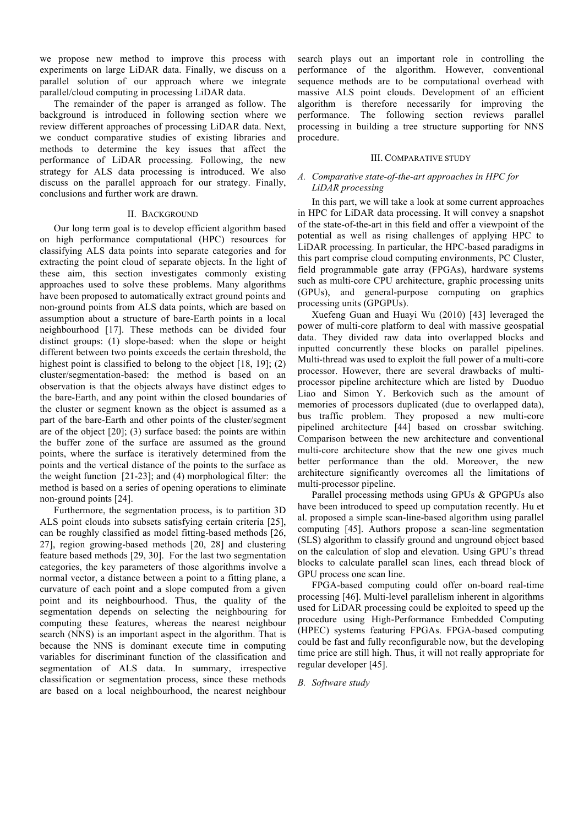we propose new method to improve this process with experiments on large LiDAR data. Finally, we discuss on a parallel solution of our approach where we integrate parallel/cloud computing in processing LiDAR data.

The remainder of the paper is arranged as follow. The background is introduced in following section where we review different approaches of processing LiDAR data. Next, we conduct comparative studies of existing libraries and methods to determine the key issues that affect the performance of LiDAR processing. Following, the new strategy for ALS data processing is introduced. We also discuss on the parallel approach for our strategy. Finally, conclusions and further work are drawn.

## II. BACKGROUND

Our long term goal is to develop efficient algorithm based on high performance computational (HPC) resources for classifying ALS data points into separate categories and for extracting the point cloud of separate objects. In the light of these aim, this section investigates commonly existing approaches used to solve these problems. Many algorithms have been proposed to automatically extract ground points and non-ground points from ALS data points, which are based on assumption about a structure of bare-Earth points in a local neighbourhood [17]. These methods can be divided four distinct groups: (1) slope-based: when the slope or height different between two points exceeds the certain threshold, the highest point is classified to belong to the object [18, 19]; (2) cluster/segmentation-based: the method is based on an observation is that the objects always have distinct edges to the bare-Earth, and any point within the closed boundaries of the cluster or segment known as the object is assumed as a part of the bare-Earth and other points of the cluster/segment are of the object [20]; (3) surface based: the points are within the buffer zone of the surface are assumed as the ground points, where the surface is iteratively determined from the points and the vertical distance of the points to the surface as the weight function [21-23]; and (4) morphological filter: the method is based on a series of opening operations to eliminate non-ground points [24].

Furthermore, the segmentation process, is to partition 3D ALS point clouds into subsets satisfying certain criteria [25], can be roughly classified as model fitting-based methods [26, 27], region growing-based methods [20, 28] and clustering feature based methods [29, 30]. For the last two segmentation categories, the key parameters of those algorithms involve a normal vector, a distance between a point to a fitting plane, a curvature of each point and a slope computed from a given point and its neighbourhood. Thus, the quality of the segmentation depends on selecting the neighbouring for computing these features, whereas the nearest neighbour search (NNS) is an important aspect in the algorithm. That is because the NNS is dominant execute time in computing variables for discriminant function of the classification and segmentation of ALS data. In summary, irrespective classification or segmentation process, since these methods are based on a local neighbourhood, the nearest neighbour

search plays out an important role in controlling the performance of the algorithm. However, conventional sequence methods are to be computational overhead with massive ALS point clouds. Development of an efficient algorithm is therefore necessarily for improving the performance. The following section reviews parallel processing in building a tree structure supporting for NNS procedure.

## III. COMPARATIVE STUDY

# *A. Comparative state-of-the-art approaches in HPC for LiDAR processing*

In this part, we will take a look at some current approaches in HPC for LiDAR data processing. It will convey a snapshot of the state-of-the-art in this field and offer a viewpoint of the potential as well as rising challenges of applying HPC to LiDAR processing. In particular, the HPC-based paradigms in this part comprise cloud computing environments, PC Cluster, field programmable gate array (FPGAs), hardware systems such as multi-core CPU architecture, graphic processing units (GPUs), and general-purpose computing on graphics processing units (GPGPUs).

Xuefeng Guan and Huayi Wu (2010) [43] leveraged the power of multi-core platform to deal with massive geospatial data. They divided raw data into overlapped blocks and inputted concurrently these blocks on parallel pipelines. Multi-thread was used to exploit the full power of a multi-core processor. However, there are several drawbacks of multiprocessor pipeline architecture which are listed by Duoduo Liao and Simon Y. Berkovich such as the amount of memories of processors duplicated (due to overlapped data), bus traffic problem. They proposed a new multi-core pipelined architecture [44] based on crossbar switching. Comparison between the new architecture and conventional multi-core architecture show that the new one gives much better performance than the old. Moreover, the new architecture significantly overcomes all the limitations of multi-processor pipeline.

Parallel processing methods using GPUs & GPGPUs also have been introduced to speed up computation recently. Hu et al. proposed a simple scan-line-based algorithm using parallel computing [45]. Authors propose a scan-line segmentation (SLS) algorithm to classify ground and unground object based on the calculation of slop and elevation. Using GPU's thread blocks to calculate parallel scan lines, each thread block of GPU process one scan line.

FPGA-based computing could offer on-board real-time processing [46]. Multi-level parallelism inherent in algorithms used for LiDAR processing could be exploited to speed up the procedure using High-Performance Embedded Computing (HPEC) systems featuring FPGAs. FPGA-based computing could be fast and fully reconfigurable now, but the developing time price are still high. Thus, it will not really appropriate for regular developer [45].

## *B. Software study*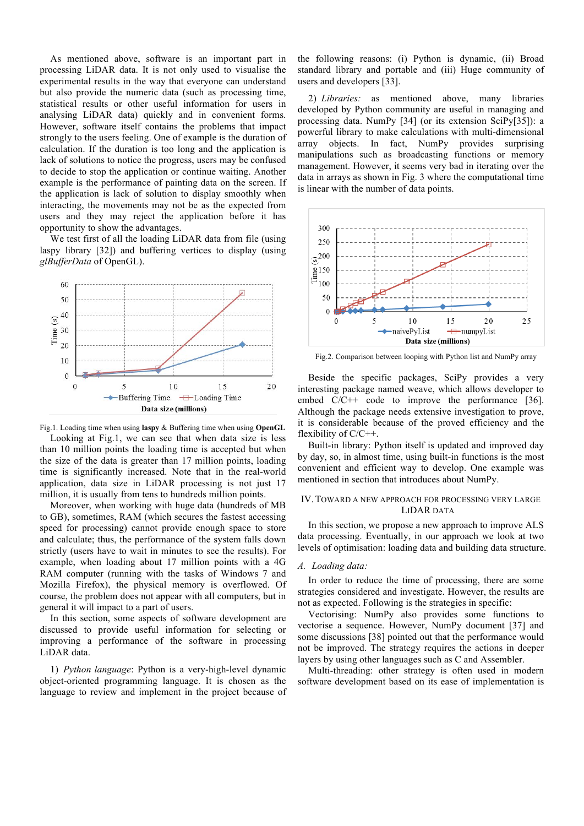As mentioned above, software is an important part in processing LiDAR data. It is not only used to visualise the experimental results in the way that everyone can understand but also provide the numeric data (such as processing time, statistical results or other useful information for users in analysing LiDAR data) quickly and in convenient forms. However, software itself contains the problems that impact strongly to the users feeling. One of example is the duration of calculation. If the duration is too long and the application is lack of solutions to notice the progress, users may be confused to decide to stop the application or continue waiting. Another example is the performance of painting data on the screen. If the application is lack of solution to display smoothly when interacting, the movements may not be as the expected from users and they may reject the application before it has opportunity to show the advantages.

We test first of all the loading LiDAR data from file (using laspy library [32]) and buffering vertices to display (using *glBufferData* of OpenGL).



Fig.1. Loading time when using **laspy** & Buffering time when using **OpenGL**

Looking at Fig.1, we can see that when data size is less than 10 million points the loading time is accepted but when the size of the data is greater than 17 million points, loading time is significantly increased. Note that in the real-world application, data size in LiDAR processing is not just 17 million, it is usually from tens to hundreds million points.

Moreover, when working with huge data (hundreds of MB to GB), sometimes, RAM (which secures the fastest accessing speed for processing) cannot provide enough space to store and calculate; thus, the performance of the system falls down strictly (users have to wait in minutes to see the results). For example, when loading about 17 million points with a 4G RAM computer (running with the tasks of Windows 7 and Mozilla Firefox), the physical memory is overflowed. Of course, the problem does not appear with all computers, but in general it will impact to a part of users.

In this section, some aspects of software development are discussed to provide useful information for selecting or improving a performance of the software in processing LiDAR data.

1) *Python language*: Python is a very-high-level dynamic object-oriented programming language. It is chosen as the language to review and implement in the project because of the following reasons: (i) Python is dynamic, (ii) Broad standard library and portable and (iii) Huge community of users and developers [33].

2) *Libraries:* as mentioned above, many libraries developed by Python community are useful in managing and processing data. NumPy [34] (or its extension SciPy[35]): a powerful library to make calculations with multi-dimensional array objects. In fact, NumPy provides surprising manipulations such as broadcasting functions or memory management. However, it seems very bad in iterating over the data in arrays as shown in Fig. 3 where the computational time is linear with the number of data points.



Fig.2. Comparison between looping with Python list and NumPy array

Beside the specific packages, SciPy provides a very interesting package named weave, which allows developer to embed C/C++ code to improve the performance [36]. Although the package needs extensive investigation to prove, it is considerable because of the proved efficiency and the flexibility of C/C++.

Built-in library: Python itself is updated and improved day by day, so, in almost time, using built-in functions is the most convenient and efficient way to develop. One example was mentioned in section that introduces about NumPy.

# IV.TOWARD A NEW APPROACH FOR PROCESSING VERY LARGE LIDAR DATA

In this section, we propose a new approach to improve ALS data processing. Eventually, in our approach we look at two levels of optimisation: loading data and building data structure.

## *A. Loading data:*

In order to reduce the time of processing, there are some strategies considered and investigate. However, the results are not as expected. Following is the strategies in specific:

Vectorising: NumPy also provides some functions to vectorise a sequence. However, NumPy document [37] and some discussions [38] pointed out that the performance would not be improved. The strategy requires the actions in deeper layers by using other languages such as C and Assembler.

Multi-threading: other strategy is often used in modern software development based on its ease of implementation is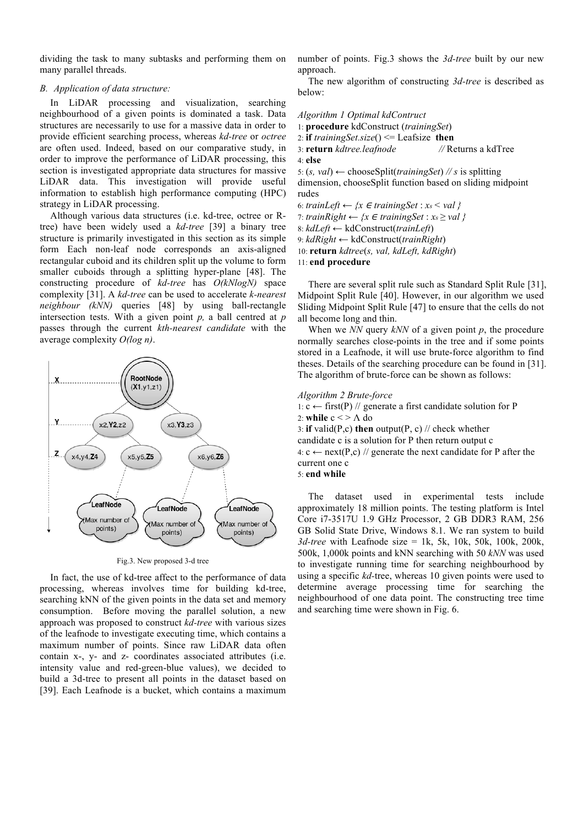dividing the task to many subtasks and performing them on many parallel threads.

## *B. Application of data structure:*

In LiDAR processing and visualization, searching neighbourhood of a given points is dominated a task. Data structures are necessarily to use for a massive data in order to provide efficient searching process, whereas *kd-tree* or *octree* are often used. Indeed, based on our comparative study, in order to improve the performance of LiDAR processing, this section is investigated appropriate data structures for massive LiDAR data. This investigation will provide useful information to establish high performance computing (HPC) strategy in LiDAR processing.

Although various data structures (i.e. kd-tree, octree or Rtree) have been widely used a *kd-tree* [39] a binary tree structure is primarily investigated in this section as its simple form Each non-leaf node corresponds an axis-aligned rectangular cuboid and its children split up the volume to form smaller cuboids through a splitting hyper-plane [48]. The constructing procedure of *kd-tree* has *O(kNlogN)* space complexity [31]. A *kd-tree* can be used to accelerate *k-nearest neighbour (kNN)* queries [48] by using ball-rectangle intersection tests. With a given point *p,* a ball centred at *p* passes through the current *kth-nearest candidate* with the average complexity *O(log n)*.



Fig.3. New proposed 3-d tree

In fact, the use of kd-tree affect to the performance of data processing, whereas involves time for building kd-tree, searching kNN of the given points in the data set and memory consumption. Before moving the parallel solution, a new approach was proposed to construct *kd-tree* with various sizes of the leafnode to investigate executing time, which contains a maximum number of points. Since raw LiDAR data often contain x-, y- and z- coordinates associated attributes (i.e. intensity value and red-green-blue values), we decided to build a 3d-tree to present all points in the dataset based on [39]. Each Leafnode is a bucket, which contains a maximum

number of points. Fig.3 shows the *3d-tree* built by our new approach.

The new algorithm of constructing *3d-tree* is described as below:

*Algorithm 1 Optimal kdContruct*

```
1: procedure kdConstruct (trainingSet)
```
2: **if** *trainingSet.size*() <= Leafsize **then**

3: **return** *kdtree.leafnode //* Returns a kdTree 4: **else**

5: (*s, val*) *←* chooseSplit(*trainingSet*) *// s* is splitting

dimension, chooseSplit function based on sliding midpoint rudes

6: *trainLeft*  $\leftarrow$  { $x \in trainingSet : x_s < val$  }

7: *trainRight ← {x* <sup>∈</sup> *trainingSet* : *xs ≥ val }*

8: *kdLeft ←* kdConstruct(*trainLeft*)

9: *kdRight ←* kdConstruct(*trainRight*)

10: **return** *kdtree*(*s, val, kdLeft, kdRight*)

11: **end procedure**

There are several split rule such as Standard Split Rule [31], Midpoint Split Rule [40]. However, in our algorithm we used Sliding Midpoint Split Rule [47] to ensure that the cells do not all become long and thin.

When we *NN* query *kNN* of a given point *p*, the procedure normally searches close-points in the tree and if some points stored in a Leafnode, it will use brute-force algorithm to find theses. Details of the searching procedure can be found in [31]. The algorithm of brute-force can be shown as follows:

```
Algorithm 2 Brute-force
```
1: c *←* first(P) // generate a first candidate solution for P 2: **while** c < > Λ do 3: **if** valid(P,c) **then** output(P, c) // check whether candidate c is a solution for P then return output c 4: c *←* next(P,c) // generate the next candidate for P after the

current one c 5: **end while**

The dataset used in experimental tests include approximately 18 million points. The testing platform is Intel Core i7-3517U 1.9 GHz Processor, 2 GB DDR3 RAM, 256 GB Solid State Drive, Windows 8.1. We ran system to build *3d-tree* with Leafnode size = 1k, 5k, 10k, 50k, 100k, 200k, 500k, 1,000k points and kNN searching with 50 *kNN* was used to investigate running time for searching neighbourhood by using a specific *kd-*tree, whereas 10 given points were used to determine average processing time for searching the neighbourhood of one data point. The constructing tree time and searching time were shown in Fig. 6.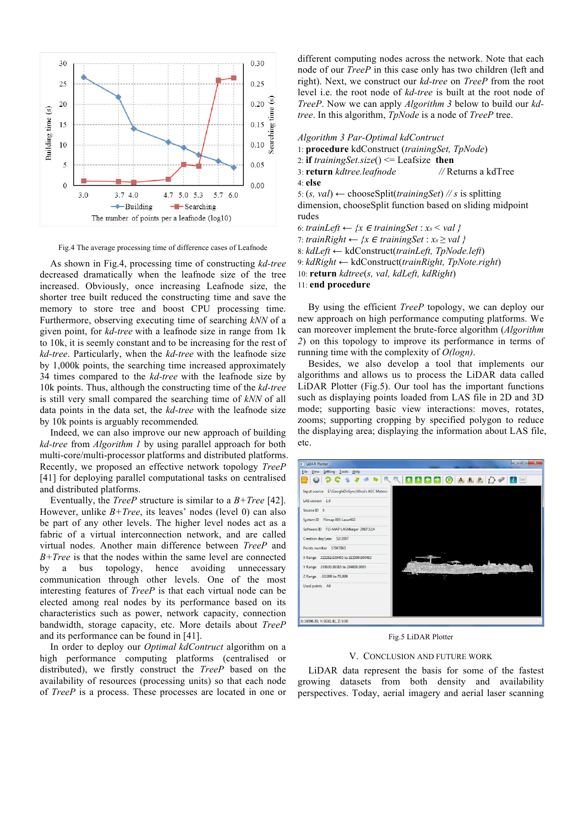

Fig.4 The average processing time of difference cases of Leafnode

As shown in Fig.4, processing time of constructing *kd-tree*  decreased dramatically when the leafnode size of the tree increased. Obviously, once increasing Leafnode size, the shorter tree built reduced the constructing time and save the memory to store tree and boost CPU processing time. Furthermore, observing executing time of searching *kNN* of a given point, for *kd-tree* with a leafnode size in range from 1k to 10k, it is seemly constant and to be increasing for the rest of *kd-tree*. Particularly, when the *kd-tree* with the leafnode size by 1,000k points, the searching time increased approximately 34 times compared to the *kd-tree* with the leafnode size by 10k points. Thus, although the constructing time of the *kd-tree* is still very small compared the searching time of *kNN* of all data points in the data set, the *kd-tree* with the leafnode size by 10k points is arguably recommended*.*

Indeed, we can also improve our new approach of building *kd-tree* from *Algorithm 1* by using parallel approach for both multi-core/multi-processor platforms and distributed platforms. Recently, we proposed an effective network topology *TreeP* [41] for deploying parallel computational tasks on centralised and distributed platforms.

Eventually, the *TreeP* structure is similar to a *B+Tree* [42]. However, unlike *B+Tree*, its leaves' nodes (level 0) can also be part of any other levels. The higher level nodes act as a fabric of a virtual interconnection network, and are called virtual nodes. Another main difference between *TreeP* and *B+Tree* is that the nodes within the same level are connected by a bus topology, hence avoiding unnecessary communication through other levels. One of the most interesting features of *TreeP* is that each virtual node can be elected among real nodes by its performance based on its characteristics such as power, network capacity, connection bandwidth, storage capacity, etc. More details about *TreeP* and its performance can be found in [41].

In order to deploy our *Optimal kdContruct* algorithm on a high performance computing platforms (centralised or distributed), we firstly construct the *TreeP* based on the availability of resources (processing units) so that each node of *TreeP* is a process. These processes are located in one or

different computing nodes across the network. Note that each node of our *TreeP* in this case only has two children (left and right). Next, we construct our *kd-tree* on *TreeP* from the root level i.e. the root node of *kd-tree* is built at the root node of *TreeP*. Now we can apply *Algorithm 3* below to build our *kdtree*. In this algorithm, *TpNode* is a node of *TreeP* tree.

- *Algorithm 3 Par-Optimal kdContruct*
- 1: **procedure** kdConstruct (*trainingSet, TpNode*)
- 2: **if** *trainingSet.size*() <= Leafsize **then**
- 3: **return** *kdtree.leafnode //* Returns a kdTree 4: **else**

5: (*s, val*) *←* chooseSplit(*trainingSet*) *// s* is splitting dimension, chooseSplit function based on sliding midpoint rudes

6: *trainLeft*  $\leftarrow$   $\{x \in trainingSet : x_s \le val\}$ 7: *trainRight ← {x* <sup>∈</sup> *trainingSet* : *xs ≥ val }* 8: *kdLeft ←* kdConstruct(*trainLeft, TpNode.left*) 9: *kdRight ←* kdConstruct(*trainRight, TpNote.right*)

10: **return** *kdtree*(*s, val, kdLeft, kdRight*)

11: **end procedure**

By using the efficient *TreeP* topology, we can deploy our new approach on high performance computing platforms. We can moreover implement the brute-force algorithm (*Algorithm 2*) on this topology to improve its performance in terms of running time with the complexity of *O(logn)*.

Besides, we also develop a tool that implements our algorithms and allows us to process the LiDAR data called LiDAR Plotter (Fig.5). Our tool has the important functions such as displaying points loaded from LAS file in 2D and 3D mode; supporting basic view interactions: moves, rotates, zooms; supporting cropping by specified polygon to reduce the displaying area; displaying the information about LAS file, etc.



Fig.5 LiDAR Plotter

## V. CONCLUSION AND FUTURE WORK

LiDAR data represent the basis for some of the fastest growing datasets from both density and availability perspectives. Today, aerial imagery and aerial laser scanning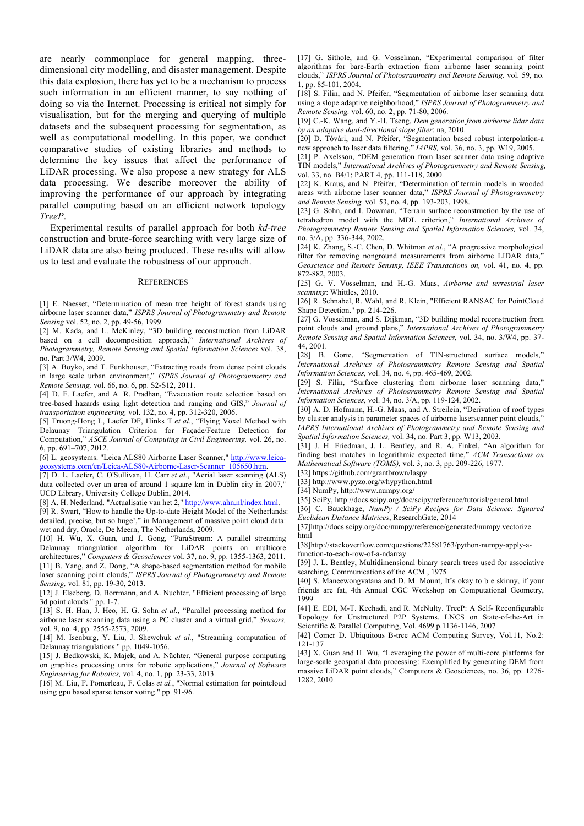are nearly commonplace for general mapping, threedimensional city modelling, and disaster management. Despite this data explosion, there has yet to be a mechanism to process such information in an efficient manner, to say nothing of doing so via the Internet. Processing is critical not simply for visualisation, but for the merging and querying of multiple datasets and the subsequent processing for segmentation, as well as computational modelling. In this paper, we conduct comparative studies of existing libraries and methods to determine the key issues that affect the performance of LiDAR processing. We also propose a new strategy for ALS data processing. We describe moreover the ability of improving the performance of our approach by integrating parallel computing based on an efficient network topology *TreeP*.

Experimental results of parallel approach for both *kd-tree* construction and brute-force searching with very large size of LiDAR data are also being produced. These results will allow us to test and evaluate the robustness of our approach.

#### **REFERENCES**

[1] E. Naesset, "Determination of mean tree height of forest stands using airborne laser scanner data," *ISPRS Journal of Photogrammetry and Remote Sensing* vol. 52, no. 2, pp. 49-56, 1999.

[2] M. Kada, and L. McKinley, "3D building reconstruction from LiDAR based on a cell decomposition approach," *International Archives of Photogrammetry, Remote Sensing and Spatial Information Sciences* vol. 38, no. Part 3/W4, 2009.

[3] A. Boyko, and T. Funkhouser, "Extracting roads from dense point clouds in large scale urban environment," *ISPRS Journal of Photogrammetry and Remote Sensing,* vol. 66, no. 6, pp. S2-S12, 2011.

[4] D. F. Laefer, and A. R. Pradhan, "Evacuation route selection based on tree-based hazards using light detection and ranging and GIS," *Journal of transportation engineering,* vol. 132, no. 4, pp. 312-320, 2006.

[5] Truong-Hong L, Laefer DF, Hinks T *et al.*, "Flying Voxel Method with Delaunay Triangulation Criterion for Façade/Feature Detection for Computation," *ASCE Journal of Computing in Civil Engineering,* vol. 26, no. 6, pp. 691–707, 2012.

[6] L. geosystems. "Leica ALS80 Airborne Laser Scanner," http://www.leicageosystems.com/en/Leica-ALS80-Airborne-Laser-Scanner\_105650.htm.

[7] D. L. Laefer, C. O'Sullivan, H. Carr *et al.*, "Aerial laser scanning (ALS) data collected over an area of around 1 square km in Dublin city in 2007, UCD Library, University College Dublin, 2014.

[8] A. H. Nederland. "Actualisatie van het 2," http://www.ahn.nl/index.html.

[9] R. Swart, "How to handle the Up-to-date Height Model of the Netherlands: detailed, precise, but so huge!," in Management of massive point cloud data: wet and dry, Oracle, De Meern, The Netherlands, 2009.

[10] H. Wu, X. Guan, and J. Gong, "ParaStream: A parallel streaming Delaunay triangulation algorithm for LiDAR points on multicore architectures," *Computers & Geosciences* vol. 37, no. 9, pp. 1355-1363, 2011. [11] B. Yang, and Z. Dong, "A shape-based segmentation method for mobile laser scanning point clouds," *ISPRS Journal of Photogrammetry and Remote* 

*Sensing,* vol. 81, pp. 19-30, 2013. [12] J. Elseberg, D. Borrmann, and A. Nuchter, "Efficient processing of large 3d point clouds." pp. 1-7.

[13] S. H. Han, J. Heo, H. G. Sohn *et al.*, "Parallel processing method for airborne laser scanning data using a PC cluster and a virtual grid," *Sensors,* vol. 9, no. 4, pp. 2555-2573, 2009.

[14] M. Isenburg, Y. Liu, J. Shewchuk *et al.*, "Streaming computation of Delaunay triangulations." pp. 1049-1056.

[15] J. Bedkowski, K. Majek, and A. Nüchter, "General purpose computing on graphics processing units for robotic applications," *Journal of Software Engineering for Robotics,* vol. 4, no. 1, pp. 23-33, 2013.

[16] M. Liu, F. Pomerleau, F. Colas *et al.*, "Normal estimation for pointcloud using gpu based sparse tensor voting." pp. 91-96.

[17] G. Sithole, and G. Vosselman, "Experimental comparison of filter algorithms for bare-Earth extraction from airborne laser scanning point clouds," *ISPRS Journal of Photogrammetry and Remote Sensing,* vol. 59, no. 1, pp. 85-101, 2004.

[18] S. Filin, and N. Pfeifer, "Segmentation of airborne laser scanning data using a slope adaptive neighborhood," *ISPRS Journal of Photogrammetry and Remote Sensing,* vol. 60, no. 2, pp. 71-80, 2006.

[19] C.-K. Wang, and Y.-H. Tseng, *Dem generation from airborne lidar data by an adaptive dual-directional slope filter*: na, 2010.

[20] D. Tóvári, and N. Pfeifer, "Segmentation based robust interpolation-a new approach to laser data filtering," *IAPRS,* vol. 36, no. 3, pp. W19, 2005.

[21] P. Axelsson, "DEM generation from laser scanner data using adaptive TIN models," *International Archives of Photogrammetry and Remote Sensing,* vol. 33, no. B4/1; PART 4, pp. 111-118, 2000.

[22] K. Kraus, and N. Pfeifer, "Determination of terrain models in wooded areas with airborne laser scanner data," *ISPRS Journal of Photogrammetry and Remote Sensing,* vol. 53, no. 4, pp. 193-203, 1998.

[23] G. Sohn, and I. Dowman, "Terrain surface reconstruction by the use of tetrahedron model with the MDL criterion," *International Archives of Photogrammetry Remote Sensing and Spatial Information Sciences,* vol. 34, no. 3/A, pp. 336-344, 2002.

[24] K. Zhang, S.-C. Chen, D. Whitman *et al.*, "A progressive morphological filter for removing nonground measurements from airborne LIDAR data," *Geoscience and Remote Sensing, IEEE Transactions on,* vol. 41, no. 4, pp. 872-882, 2003.

[25] G. V. Vosselman, and H.-G. Maas, *Airborne and terrestrial laser scanning*: Whittles, 2010.

[26] R. Schnabel, R. Wahl, and R. Klein, "Efficient RANSAC for PointCloud Shape Detection." pp. 214-226.

[27] G. Vosselman, and S. Dijkman, "3D building model reconstruction from point clouds and ground plans," *International Archives of Photogrammetry Remote Sensing and Spatial Information Sciences,* vol. 34, no. 3/W4, pp. 37- 44, 2001.

[28] B. Gorte, "Segmentation of TIN-structured surface models," *International Archives of Photogrammetry Remote Sensing and Spatial Information Sciences,* vol. 34, no. 4, pp. 465-469, 2002.

[29] S. Filin, "Surface clustering from airborne laser scanning data," *International Archives of Photogrammetry Remote Sensing and Spatial Information Sciences,* vol. 34, no. 3/A, pp. 119-124, 2002.

[30] A. D. Hofmann, H.-G. Maas, and A. Streilein, "Derivation of roof types by cluster analysis in parameter spaces of airborne laserscanner point clouds," *IAPRS International Archives of Photogrammetry and Remote Sensing and Spatial Information Sciences,* vol. 34, no. Part 3, pp. W13, 2003.

[31] J. H. Friedman, J. L. Bentley, and R. A. Finkel, "An algorithm for finding best matches in logarithmic expected time," *ACM Transactions on Mathematical Software (TOMS),* vol. 3, no. 3, pp. 209-226, 1977.

[32] https://github.com/grantbrown/laspy

[33] http://www.pyzo.org/whypython.html

[34] NumPy, http://www.numpy.org/

[35] SciPy, http://docs.scipy.org/doc/scipy/reference/tutorial/general.html

[36] C. Bauckhage, *NumPy / SciPy Recipes for Data Science: Squared Euclidean Distance Matrices*, ResearchGate, 2014

[37]http://docs.scipy.org/doc/numpy/reference/generated/numpy.vectorize. html

[38]http://stackoverflow.com/questions/22581763/python-numpy-apply-afunction-to-each-row-of-a-ndarray

[39] J. L. Bentley, Multidimensional binary search trees used for associative searching, Communications of the ACM , 1975

[40] S. Maneewongvatana and D. M. Mount, It's okay to b e skinny, if your friends are fat, 4th Annual CGC Workshop on Computational Geometry, 1999

[41] E. EDI, M-T. Kechadi, and R. McNulty. TreeP: A Self- Reconfigurable Topology for Unstructured P2P Systems. LNCS on State-of-the-Art in Scientific & Parallel Computing, Vol. 4699 p.1136-1146, 2007

[42] Comer D. Ubiquitous B-tree ACM Computing Survey, Vol.11, No.2: 121-137

[43] X. Guan and H. Wu, "Leveraging the power of multi-core platforms for large-scale geospatial data processing: Exemplified by generating DEM from massive LiDAR point clouds," Computers & Geosciences, no. 36, pp. 1276- 1282, 2010.